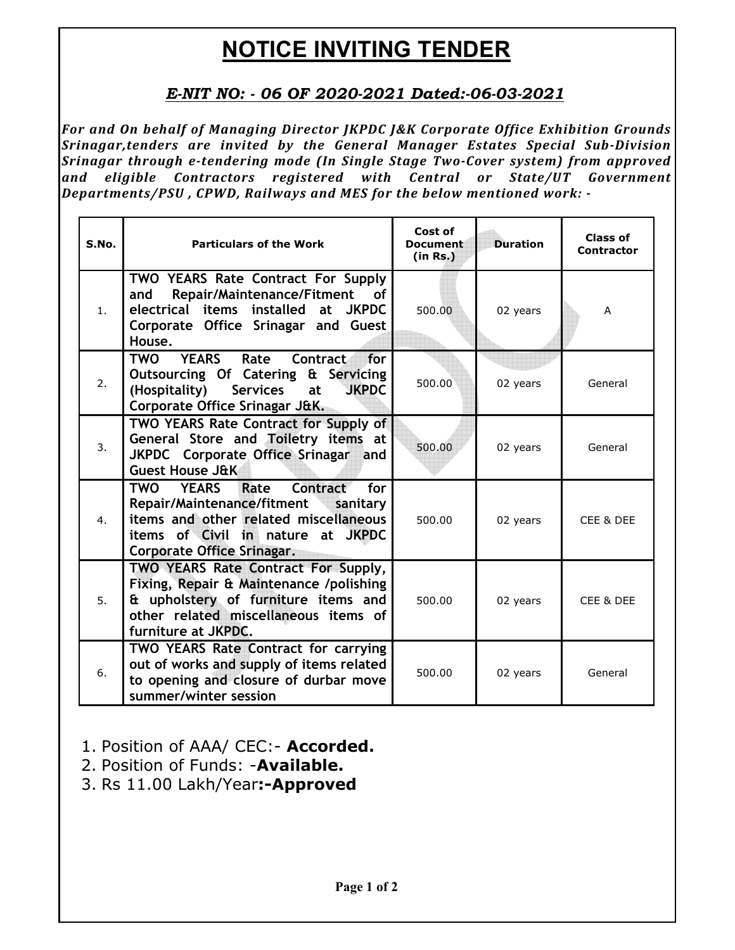## **NOTICE INVITING TENDER**

## *E-NIT NO: - 06 OF 2020-2021 Dated:-06-03-2021*

*For and On behalf of Managing Director JKPDC J&K Corporate Office Exhibition Grounds Srinagar,tenders are invited by the General Manager Estates Special Sub-Division Srinagar through e-tendering mode (In Single Stage Two-Cover system) from approved and eligible Contractors registered with Central or State/UT Government Departments/PSU , CPWD, Railways and MES for the below mentioned work: -* 

| S.No.            | <b>Particulars of the Work</b>                                                                                                                                                                           | Cost of<br><b>Document</b><br>(in Rs.) | <b>Duration</b> | Class of<br><b>Contractor</b> |
|------------------|----------------------------------------------------------------------------------------------------------------------------------------------------------------------------------------------------------|----------------------------------------|-----------------|-------------------------------|
| 1.               | <b>TWO YEARS Rate Contract For Supply</b><br>Repair/Maintenance/Fitment<br>and<br><b>of</b><br>electrical items installed at JKPDC<br>Corporate Office Srinagar and Guest<br>House.                      | 500.00                                 | 02 years        | A                             |
| 2.               | <b>YEARS</b><br>Rate<br><b>Contract</b><br>for<br><b>TWO</b><br>Outsourcing Of Catering & Servicing<br><b>JKPDC</b><br>(Hospitality)<br><b>Services</b><br>at<br>Corporate Office Srinagar J&K.          | 500.00                                 | 02 years        | General                       |
| 3.               | <b>TWO YEARS Rate Contract for Supply of</b><br>General Store and Toiletry items at<br>JKPDC Corporate Office Srinagar and<br><b>Guest House J&amp;K</b>                                                 | 500.00                                 | 02 years        | General                       |
| $\overline{4}$ . | Contract<br>for<br>TWO<br>Rate<br><b>YEARS</b><br>Repair/Maintenance/fitment sanitary<br>items and other related miscellaneous<br>items of Civil in nature at JKPDC<br><b>Corporate Office Srinagar.</b> | 500.00                                 | 02 years        | CEE & DEE                     |
| 5.               | TWO YEARS Rate Contract For Supply,<br>Fixing, Repair & Maintenance /polishing<br>& upholstery of furniture items and<br>other related miscellaneous items of<br>furniture at JKPDC.                     | 500.00                                 | 02 years        | CEE & DEE                     |
| 6.               | TWO YEARS Rate Contract for carrying<br>out of works and supply of items related<br>to opening and closure of durbar move<br>summer/winter session                                                       | 500.00                                 | 02 years        | General                       |

- 1. Position of AAA/ CEC:- **Accorded.**
- 2. Position of Funds: -**Available.**
- 3. Rs 11.00 Lakh/Year**:-Approved**